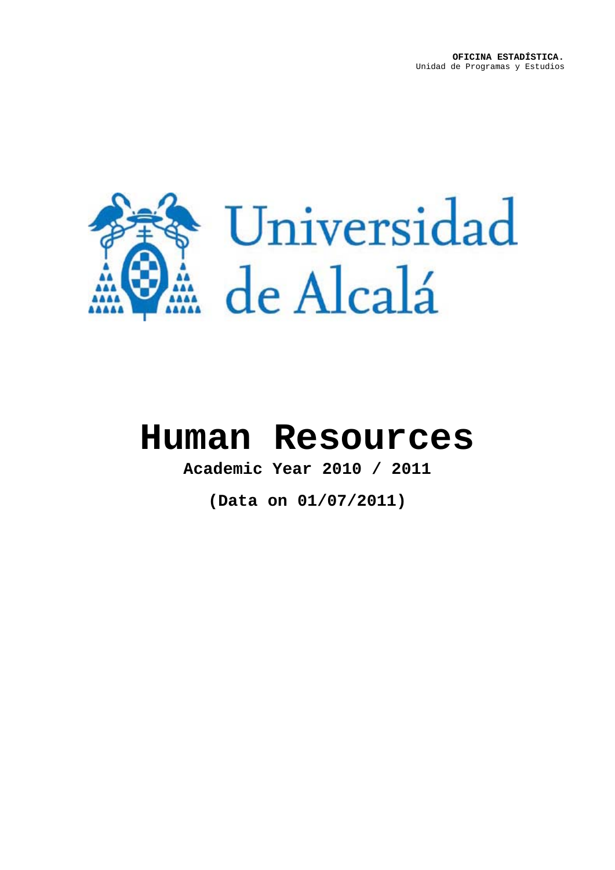

# **Human Resources**

**Academic Year 2010 / 2011**

**(Data on 01/07/2011)**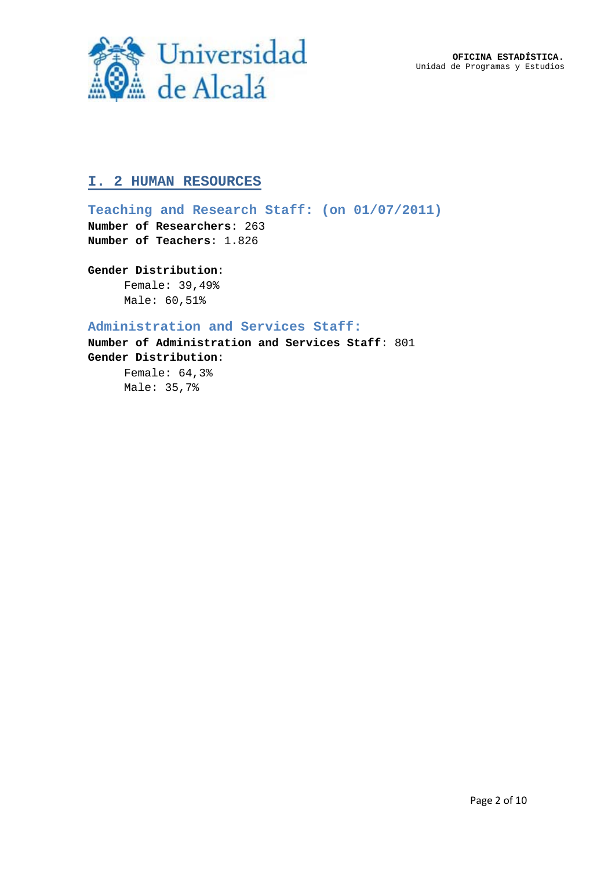**OFICINA ESTADÍSTICA.** Unidad de Programas y Estudios



# **I. 2 HUMAN RESOURCES**

**Teaching and Research Staff: (on 01/07/2011) Number of Researchers**: 263 **Number of Teachers**: 1.826

## **Gender Distribution**:

Female: 39,49% Male: 60,51%

## **Administration and Services Staff:**

**Number of Administration and Services Staff**: 801 **Gender Distribution**: Female: 64,3%

Male: 35,7%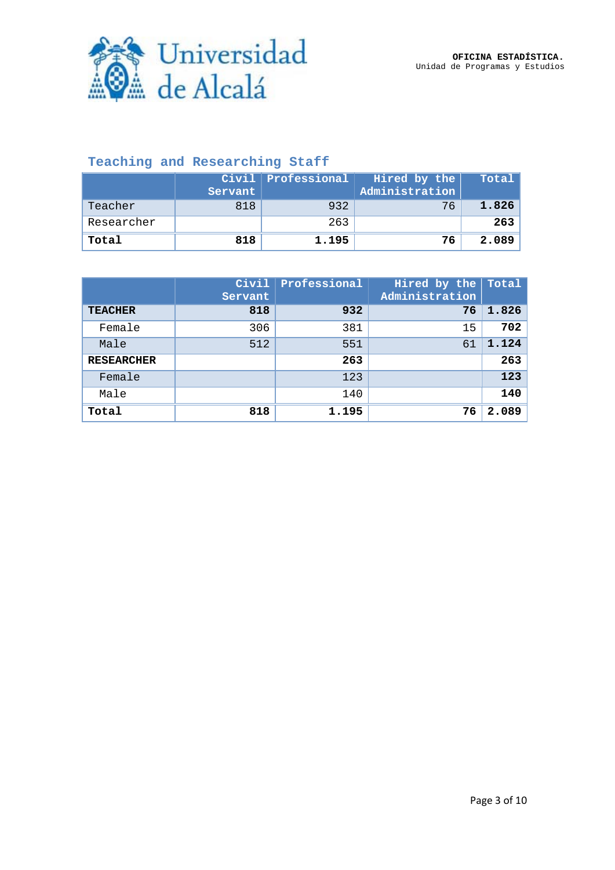

# **Teaching and Researching Staff**

|            | Servant | Civil Professional | Hired by the<br>Administration | Total |
|------------|---------|--------------------|--------------------------------|-------|
| Teacher    | 818     | 932                | 76                             | 1.826 |
| Researcher |         | 263                |                                | 263   |
| Total      | 818     | 1.195              | 76                             | 2.089 |

|                   | Civil<br>Servant | Professional | Hired by the<br>Administration | Total, |
|-------------------|------------------|--------------|--------------------------------|--------|
| <b>TEACHER</b>    | 818              | 932          | 76                             | 1.826  |
| Female            | 306              | 381          | 15                             | 702    |
| Male              | 512              | 551          | 61                             | 1.124  |
| <b>RESEARCHER</b> |                  | 263          |                                | 263    |
| Female            |                  | 123          |                                | 123    |
| Male              |                  | 140          |                                | 140    |
| Total             | 818              | 1.195        | 76                             | 2.089  |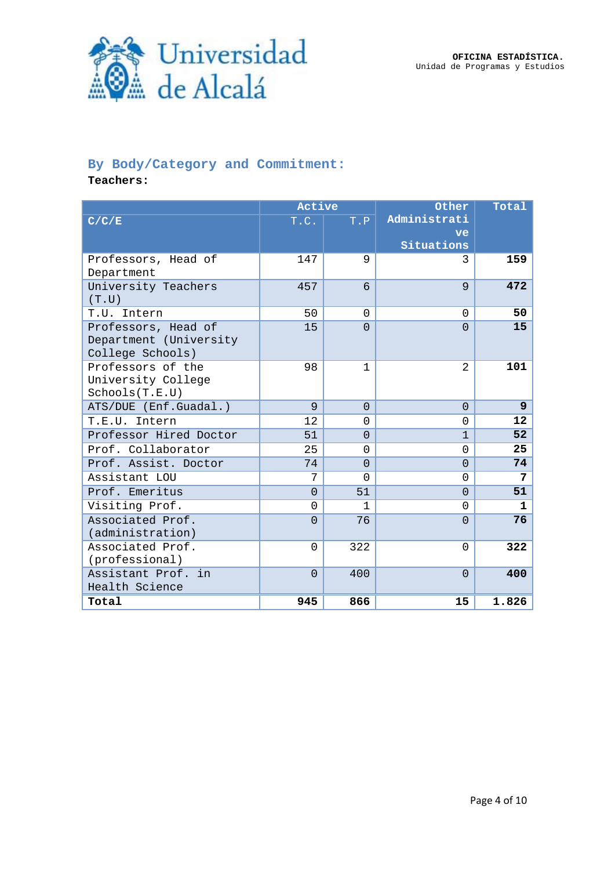**OFICINA ESTADÍSTICA.** Unidad de Programas y Estudios



# **By Body/Category and Commitment:**

**Teachers:**

|                                                                   | Active   |              | Other          | Total             |
|-------------------------------------------------------------------|----------|--------------|----------------|-------------------|
| C/C/E                                                             | T.C.     | T.P          | Administrati   |                   |
|                                                                   |          |              | ve             |                   |
|                                                                   |          |              | Situations     |                   |
| Professors, Head of                                               | 147      | 9            | 3              | 159               |
| Department                                                        |          |              |                |                   |
| University Teachers<br>(T.U)                                      | 457      | 6            | 9              | 472               |
| T.U. Intern                                                       | 50       | $\Omega$     | $\Omega$       | 50                |
| Professors, Head of<br>Department (University<br>College Schools) | 15       | $\Omega$     | $\Omega$       | 15                |
| Professors of the<br>University College<br>Schools(T.E.U)         | 98       | $\mathbf{1}$ | $\mathfrak{D}$ | 101               |
| ATS/DUE (Enf.Guadal.)                                             | 9        | $\Omega$     | $\Omega$       | $\overline{9}$    |
| T.E.U. Intern                                                     | 12       | $\Omega$     | $\Omega$       | $12 \overline{ }$ |
| Professor Hired Doctor                                            | 51       | $\Omega$     | 1              | 52                |
| Prof. Collaborator                                                | 25       | $\Omega$     | $\Omega$       | 25                |
| Prof. Assist. Doctor                                              | 74       | $\Omega$     | $\Omega$       | 74                |
| Assistant LOU                                                     | 7        | $\Omega$     | $\Omega$       | 7                 |
| Prof. Emeritus                                                    | $\Omega$ | 51           | $\Omega$       | 51                |
| Visiting Prof.                                                    | $\Omega$ | 1            | $\Omega$       | $\mathbf{1}$      |
| Associated Prof.<br>(administration)                              | $\Omega$ | 76           | $\Omega$       | 76                |
| Associated Prof.<br>(professional)                                | $\Omega$ | 322          | $\Omega$       | 322               |
| Assistant Prof. in<br>Health Science                              | $\Omega$ | 400          | $\Omega$       | 400               |
| Total                                                             | 945      | 866          | 15             | 1.826             |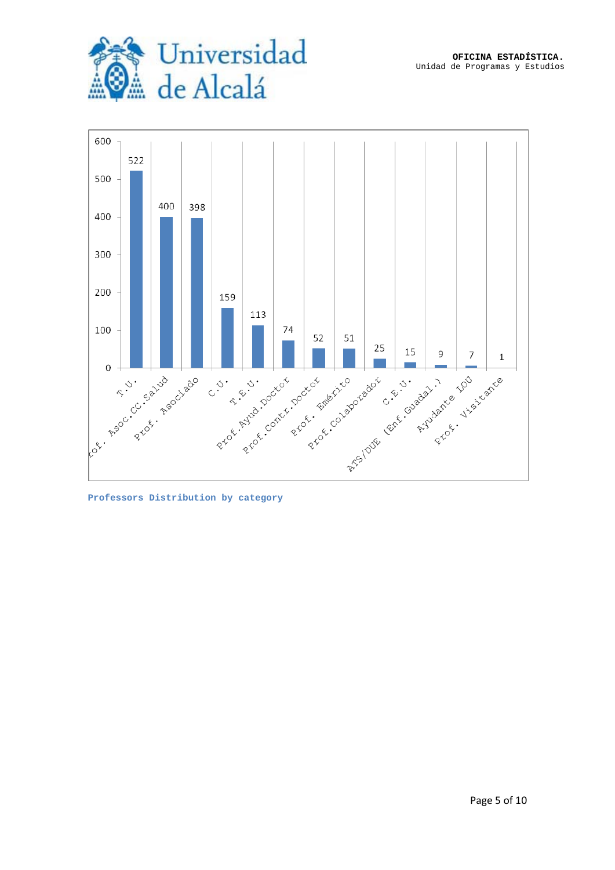



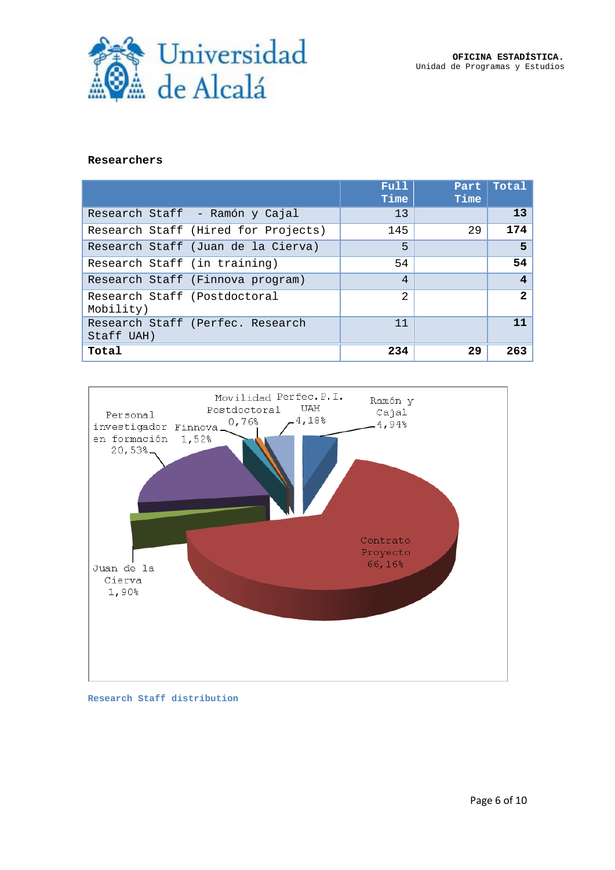



#### **Researchers**

|                                           |                                     | Full<br>Time   | Part<br>Time | Total        |
|-------------------------------------------|-------------------------------------|----------------|--------------|--------------|
|                                           | Research Staff - Ramón y Cajal      | 13             |              | 13           |
|                                           | Research Staff (Hired for Projects) | 145            | 29           | 174          |
|                                           | Research Staff (Juan de la Cierva)  | 5              |              | 5            |
| Research Staff (in training)              |                                     | 54             |              | 54           |
|                                           | Research Staff (Finnova program)    | 4              |              | 4            |
| Research Staff (Postdoctoral<br>Mobility) |                                     | $\mathfrak{D}$ |              | $\mathbf{2}$ |
| Staff UAH)                                | Research Staff (Perfec. Research    | 11             |              | 11           |
| Total                                     |                                     | 234            | 29           | 263          |



#### **Research Staff distribution**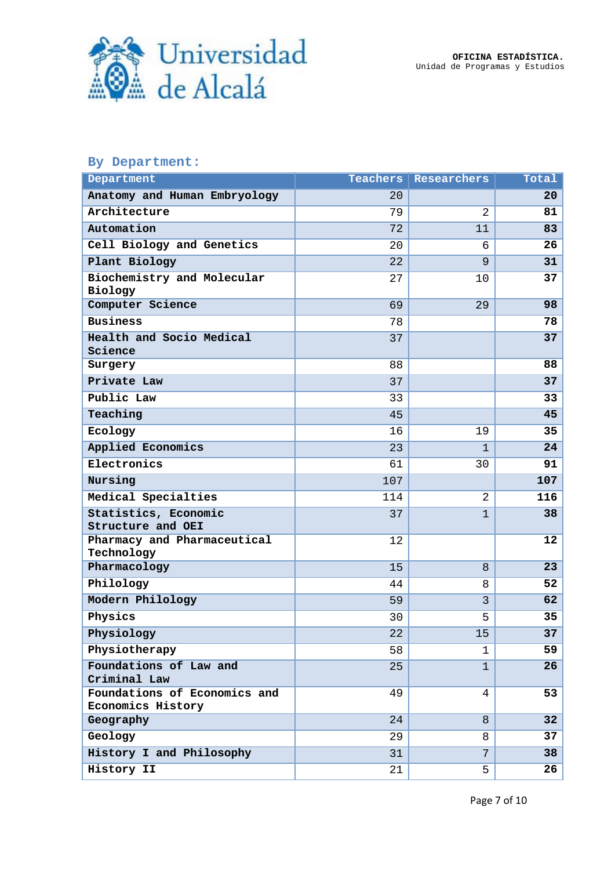

### **By Department:**

| Department                                        | Teachers | Researchers    | Total |
|---------------------------------------------------|----------|----------------|-------|
| Anatomy and Human Embryology                      | 20       |                | 20    |
| Architecture                                      | 79       | $\overline{2}$ | 81    |
| Automation                                        | 72       | 11             | 83    |
| Cell Biology and Genetics                         | 20       | 6              | 26    |
| Plant Biology                                     | 22       | 9              | 31    |
| Biochemistry and Molecular<br>Biology             | 27       | 10             | 37    |
| Computer Science                                  | 69       | 29             | 98    |
| <b>Business</b>                                   | 78       |                | 78    |
| Health and Socio Medical<br>Science               | 37       |                | 37    |
| Surgery                                           | 88       |                | 88    |
| Private Law                                       | 37       |                | 37    |
| Public Law                                        | 33       |                | 33    |
| Teaching                                          | 45       |                | 45    |
| Ecology                                           | 16       | 19             | 35    |
| Applied Economics                                 | 23       | $\mathbf{1}$   | 24    |
| Electronics                                       | 61       | 30             | 91    |
| Nursing                                           | 107      |                | 107   |
| Medical Specialties                               | 114      | 2              | 116   |
| Statistics, Economic<br>Structure and OEI         | 37       | $\mathbf{1}$   | 38    |
| Pharmacy and Pharmaceutical<br>Technology         | 12       |                | 12    |
| Pharmacology                                      | 15       | 8              | 23    |
| Philology                                         | 44       | 8              | 52    |
| Modern Philology                                  | 59       | 3              | 62    |
| Physics                                           | 30       | 5              | 35    |
| Physiology                                        | 22       | 15             | 37    |
| Physiotherapy                                     | 58       | 1              | 59    |
| Foundations of Law and<br>Criminal Law            | 25       | $\mathbf{1}$   | 26    |
| Foundations of Economics and<br>Economics History | 49       | 4              | 53    |
| Geography                                         | 24       | 8              | 32    |
| Geology                                           | 29       | 8              | 37    |
| History I and Philosophy                          | 31       | 7              | 38    |
| History II                                        | 21       | 5              | 26    |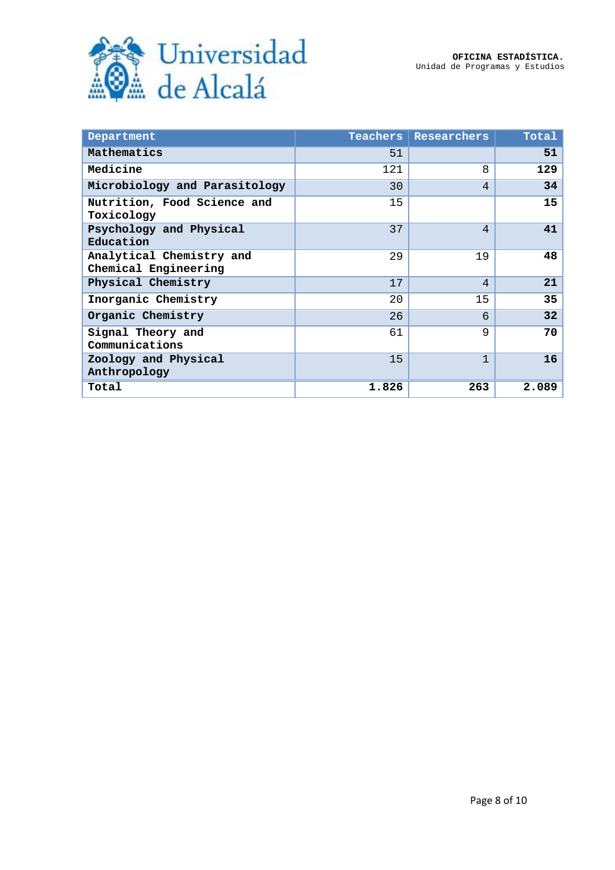

| Department                                       | <b>Teachers</b> | Researchers    | Total |
|--------------------------------------------------|-----------------|----------------|-------|
| Mathematics                                      | 51              |                | 51    |
| Medicine                                         | 121             | 8              | 129   |
| Microbiology and Parasitology                    | 30              | $\overline{4}$ | 34    |
| Nutrition, Food Science and<br>Toxicology        | 15              |                | 15    |
| Psychology and Physical<br>Education             | 37              | $\overline{4}$ | 41    |
| Analytical Chemistry and<br>Chemical Engineering | 2.9             | 19             | 48    |
| Physical Chemistry                               | 17              | 4              | 21    |
| Inorganic Chemistry                              | 20              | 15             | 35    |
| Organic Chemistry                                | 26              | 6              | 32    |
| Signal Theory and<br>Communications              | 61              | 9              | 70    |
| Zoology and Physical<br>Anthropology             | 15              | $\mathbf{1}$   | 16    |
| Total                                            | 1.826           | 263            | 2.089 |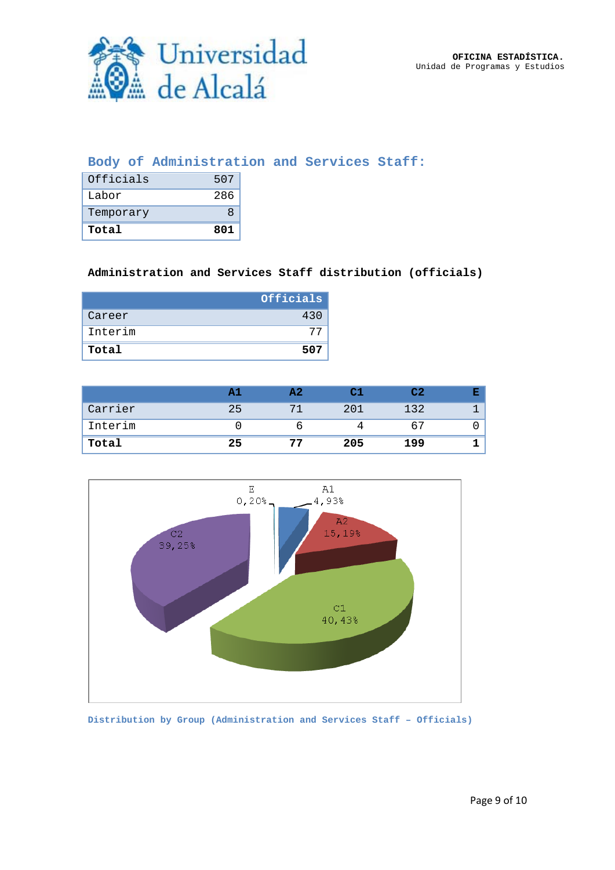

## **Body of Administration and Services Staff:**

| Officials | 507 |
|-----------|-----|
| Labor     | 286 |
| Temporary | я   |
| Total     | 801 |

## **Administration and Services Staff distribution (officials)**

|         | Officials |
|---------|-----------|
| Career  | 430       |
| Interim |           |
| Total   | 507       |

|         |    | A 7 |     | C2  |  |
|---------|----|-----|-----|-----|--|
| Carrier | 25 |     | 201 | 132 |  |
| Interim |    |     |     | 67  |  |
| Total   | 25 | 77  | 205 | 199 |  |



**Distribution by Group (Administration and Services Staff – Officials)**